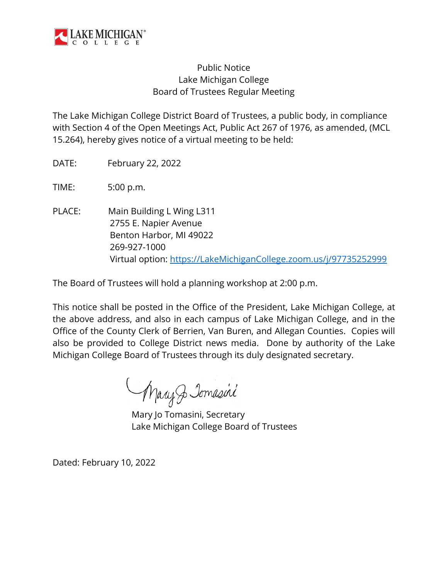

## Public Notice Lake Michigan College Board of Trustees Regular Meeting

The Lake Michigan College District Board of Trustees, a public body, in compliance with Section 4 of the Open Meetings Act, Public Act 267 of 1976, as amended, (MCL 15.264), hereby gives notice of a virtual meeting to be held:

DATE: February 22, 2022

TIME: 5:00 p.m.

PLACE: Main Building L Wing L311 2755 E. Napier Avenue Benton Harbor, MI 49022 269-927-1000 Virtual option: [https://LakeMichiganCollege.zoom.us/j/97735252999](https://lakemichigancollege.zoom.us/j/97735252999)

The Board of Trustees will hold a planning workshop at 2:00 p.m.

This notice shall be posted in the Office of the President, Lake Michigan College, at the above address, and also in each campus of Lake Michigan College, and in the Office of the County Clerk of Berrien, Van Buren, and Allegan Counties. Copies will also be provided to College District news media. Done by authority of the Lake Michigan College Board of Trustees through its duly designated secretary.

Mary Jomasini

Mary Jo Tomasini, Secretary Lake Michigan College Board of Trustees

Dated: February 10, 2022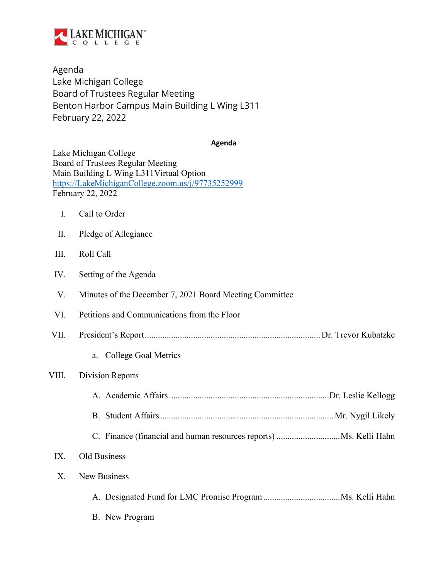

Agenda Lake Michigan College Board of Trustees Regular Meeting Benton Harbor Campus Main Building L Wing L311 February 22, 2022

**Agenda**

|                | Lake Michigan College<br>Board of Trustees Regular Meeting<br>Main Building L Wing L311Virtual Option<br>https://LakeMichiganCollege.zoom.us/j/97735252999<br>February 22, 2022 |
|----------------|---------------------------------------------------------------------------------------------------------------------------------------------------------------------------------|
| $\mathbf{I}$ . | Call to Order                                                                                                                                                                   |
| II.            | Pledge of Allegiance                                                                                                                                                            |
| III.           | Roll Call                                                                                                                                                                       |
| IV.            | Setting of the Agenda                                                                                                                                                           |
| V.             | Minutes of the December 7, 2021 Board Meeting Committee                                                                                                                         |
| VI.            | Petitions and Communications from the Floor                                                                                                                                     |
| VII.           |                                                                                                                                                                                 |
|                | College Goal Metrics<br>a.                                                                                                                                                      |
| VIII.          | Division Reports                                                                                                                                                                |
|                |                                                                                                                                                                                 |
|                |                                                                                                                                                                                 |
|                |                                                                                                                                                                                 |
| IX.            | Old Business                                                                                                                                                                    |
| $X_{\cdot}$    | New Business                                                                                                                                                                    |
|                |                                                                                                                                                                                 |
|                | B. New Program                                                                                                                                                                  |